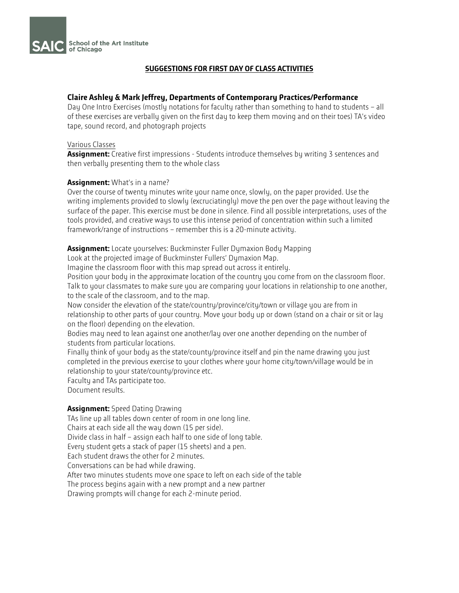

# **SUGGESTIONS FOR FIRST DAY OF CLASS ACTIVITIES**

## **Claire Ashley & Mark Jeffrey, Departments of Contemporary Practices/Performance**

Day One Intro Exercises (mostly notations for faculty rather than something to hand to students – all of these exercises are verbally given on the first day to keep them moving and on their toes) TA's video tape, sound record, and photograph projects

#### Various Classes

**Assignment:** Creative first impressions - Students introduce themselves by writing 3 sentences and then verbally presenting them to the whole class

## **Assignment:** What's in a name?

Over the course of twenty minutes write your name once, slowly, on the paper provided. Use the writing implements provided to slowly (excruciatingly) move the pen over the page without leaving the surface of the paper. This exercise must be done in silence. Find all possible interpretations, uses of the tools provided, and creative ways to use this intense period of concentration within such a limited framework/range of instructions – remember this is a 20-minute activity.

**Assignment:** Locate yourselves: Buckminster Fuller Dymaxion Body Mapping

Look at the projected image of Buckminster Fullers' Dymaxion Map.

Imagine the classroom floor with this map spread out across it entirely.

Position your body in the approximate location of the country you come from on the classroom floor. Talk to your classmates to make sure you are comparing your locations in relationship to one another, to the scale of the classroom, and to the map.

Now consider the elevation of the state/country/province/city/town or village you are from in relationship to other parts of your country. Move your body up or down (stand on a chair or sit or lay on the floor) depending on the elevation.

Bodies may need to lean against one another/lay over one another depending on the number of students from particular locations.

Finally think of your body as the state/county/province itself and pin the name drawing you just completed in the previous exercise to your clothes where your home city/town/village would be in relationship to your state/county/province etc.

Faculty and TAs participate too. Document results.

## **Assignment:** Speed Dating Drawing

TAs line up all tables down center of room in one long line. Chairs at each side all the way down (15 per side). Divide class in half – assign each half to one side of long table. Every student gets a stack of paper (15 sheets) and a pen. Each student draws the other for 2 minutes. Conversations can be had while drawing. After two minutes students move one space to left on each side of the table The process begins again with a new prompt and a new partner Drawing prompts will change for each 2-minute period.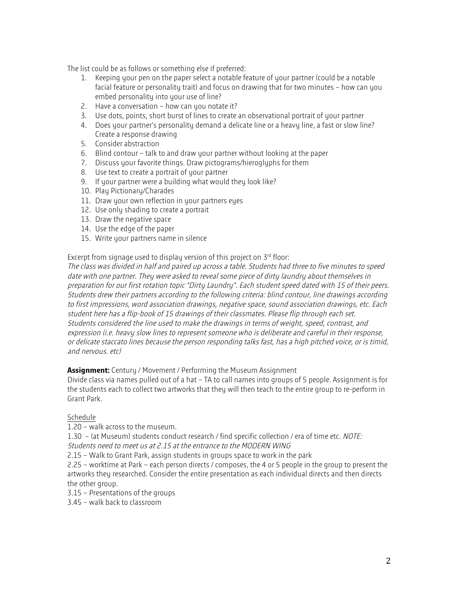The list could be as follows or something else if preferred:

- 1. Keeping your pen on the paper select a notable feature of your partner (could be a notable facial feature or personality trait) and focus on drawing that for two minutes – how can you embed personality into your use of line?
- 2. Have a conversation how can you notate it?
- 3. Use dots, points, short burst of lines to create an observational portrait of your partner
- 4. Does your partner's personality demand a delicate line or a heavy line, a fast or slow line? Create a response drawing
- 5. Consider abstraction
- 6. Blind contour talk to and draw your partner without looking at the paper
- 7. Discuss your favorite things. Draw pictograms/hieroglyphs for them
- 8. Use text to create a portrait of your partner
- 9. If your partner were a building what would they look like?
- 10. Play Pictionary/Charades
- 11. Draw your own reflection in your partners eyes
- 12. Use only shading to create a portrait
- 13. Draw the negative space
- 14. Use the edge of the paper
- 15. Write your partners name in silence

Excerpt from signage used to display version of this project on 3rd floor:

The class was divided in half and paired up across a table. Students had three to five minutes to speed date with one partner. They were asked to reveal some piece of dirty laundry about themselves in preparation for our first rotation topic "Dirty Laundry". Each student speed dated with 15 of their peers. Students drew their partners according to the following criteria: blind contour, line drawings according to first impressions, word association drawings, negative space, sound association drawings, etc. Each student here has a flip-book of 15 drawings of their classmates. Please flip through each set. Students considered the line used to make the drawings in terms of weight, speed, contrast, and expression (i.e. heavy slow lines to represent someone who is deliberate and careful in their response, or delicate staccato lines because the person responding talks fast, has a high pitched voice, or is timid, and nervous. etc)

**Assignment:** Century / Movement / Performing the Museum Assignment

Divide class via names pulled out of a hat – TA to call names into groups of 5 people. Assignment is for the students each to collect two artworks that they will then teach to the entire group to re-perform in Grant Park.

## Schedule

1.20 – walk across to the museum.

1.30 – (at Museum) students conduct research / find specific collection / era of time etc. NOTE: Students need to meet us at 2.15 at the entrance to the MODERN WING

2.15 – Walk to Grant Park, assign students in groups space to work in the park

2.25 – worktime at Park – each person directs / composes, the 4 or 5 people in the group to present the artworks they researched. Consider the entire presentation as each individual directs and then directs the other group.

3.15 – Presentations of the groups

3.45 – walk back to classroom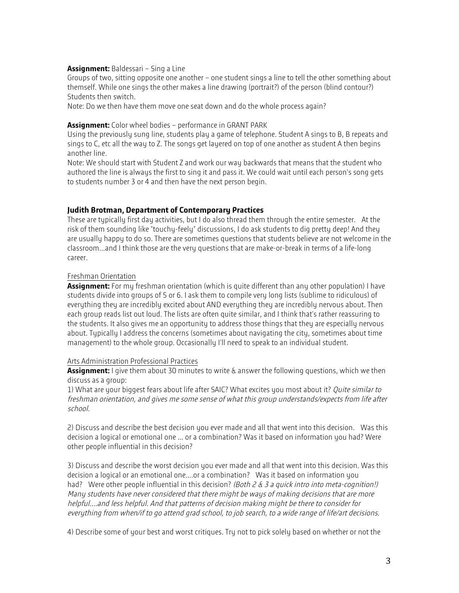#### **Assignment:** Baldessari – Sing a Line

Groups of two, sitting opposite one another – one student sings a line to tell the other something about themself. While one sings the other makes a line drawing (portrait?) of the person (blind contour?) Students then switch.

Note: Do we then have them move one seat down and do the whole process again?

### **Assignment:** Color wheel bodies – performance in GRANT PARK

Using the previously sung line, students play a game of telephone. Student A sings to B, B repeats and sings to C, etc all the way to Z. The songs get layered on top of one another as student A then begins another line.

Note: We should start with Student Z and work our way backwards that means that the student who authored the line is always the first to sing it and pass it. We could wait until each person's song gets to students number 3 or 4 and then have the next person begin.

## **Judith Brotman, Department of Contemporary Practices**

These are typically first day activities, but I do also thread them through the entire semester. At the risk of them sounding like "touchy-feely" discussions, I do ask students to dig pretty deep! And they are usually happy to do so. There are sometimes questions that students believe are not welcome in the classroom...and I think those are the very questions that are make-or-break in terms of a life-long career.

#### Freshman Orientation

**Assignment:** For my freshman orientation (which is quite different than any other population) I have students divide into groups of 5 or 6. I ask them to compile very long lists (sublime to ridiculous) of everything they are incredibly excited about AND everything they are incredibly nervous about. Then each group reads list out loud. The lists are often quite similar, and I think that's rather reassuring to the students. It also gives me an opportunity to address those things that they are especially nervous about. Typically I address the concerns (sometimes about navigating the city, sometimes about time management) to the whole group. Occasionally I'll need to speak to an individual student.

#### Arts Administration Professional Practices

**Assignment:** I give them about 30 minutes to write & answer the following questions, which we then discuss as a group:

1) What are your biggest fears about life after SAIC? What excites you most about it? *Quite similar to* freshman orientation, and gives me some sense of what this group understands/expects from life after school.

2) Discuss and describe the best decision you ever made and all that went into this decision. Was this decision a logical or emotional one … or a combination? Was it based on information you had? Were other people influential in this decision?

3) Discuss and describe the worst decision you ever made and all that went into this decision. Was this decision a logical or an emotional one….or a combination? Was it based on information you had? Were other people influential in this decision? (Both 2 & 3 a quick intro into meta-cognition!) Many students have never considered that there might be ways of making decisions that are more helpful....and less helpful. And that patterns of decision making might be there to consider for everything from when/if to go attend grad school, to job search, to a wide range of life/art decisions.

4) Describe some of your best and worst critiques. Try not to pick solely based on whether or not the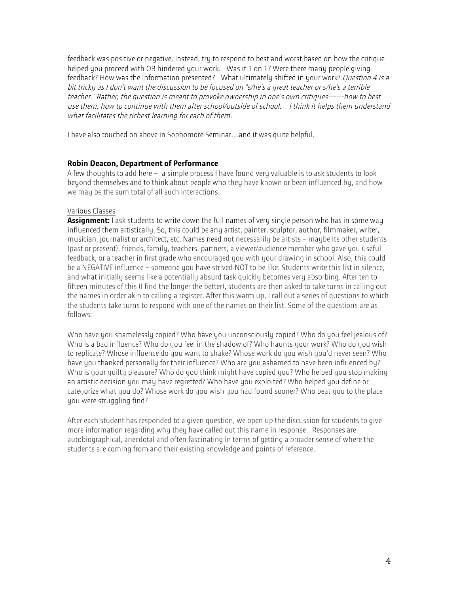feedback was positive or negative. Instead, try to respond to best and worst based on how the critique helped you proceed with OR hindered your work. Was it 1 on 1? Were there many people giving feedback? How was the information presented? What ultimately shifted in your work? Question 4 is a bit tricky as I don't want the discussion to be focused on "s/he's a great teacher or s/he's a terrible teacher." Rather, the question is meant to provoke ownership in one's own critiques------how to best use them, how to continue with them after school/outside of school. I think it helps them understand what facilitates the richest learning for each of them.

I have also touched on above in Sophomore Seminar....and it was quite helpful.

# **Robin Deacon, Department of Performance**

A few thoughts to add here – a simple process I have found very valuable is to ask students to look beyond themselves and to think about people who they have known or been influenced by, and how we may be the sum total of all such interactions.

# Various Classes

**Assignment:** I ask students to write down the full names of very single person who has in some way influenced them artistically. So, this could be any artist, painter, sculptor, author, filmmaker, writer, musician, journalist or architect, etc. Names need not necessarily be artists – maybe its other students (past or present), friends, family, teachers, partners, a viewer/audience member who gave you useful feedback, or a teacher in first grade who encouraged you with your drawing in school. Also, this could be a NEGATIVE influence – someone you have strived NOT to be like. Students write this list in silence, and what initially seems like a potentially absurd task quickly becomes very absorbing. After ten to fifteen minutes of this (I find the longer the better), students are then asked to take turns in calling out the names in order akin to calling a register. After this warm up, I call out a series of questions to which the students take turns to respond with one of the names on their list. Some of the questions are as follows:

Who have you shamelessly copied? Who have you unconsciously copied? Who do you feel jealous of? Who is a bad influence? Who do you feel in the shadow of? Who haunts your work? Who do you wish to replicate? Whose influence do you want to shake? Whose work do you wish you'd never seen? Who have you thanked personally for their influence? Who are you ashamed to have been influenced by? Who is your guilty pleasure? Who do you think might have copied you? Who helped you stop making an artistic decision you may have regretted? Who have you exploited? Who helped you define or categorize what you do? Whose work do you wish you had found sooner? Who beat you to the place you were struggling find?

After each student has responded to a given question, we open up the discussion for students to give more information regarding why they have called out this name in response. Responses are autobiographical, anecdotal and often fascinating in terms of getting a broader sense of where the students are coming from and their existing knowledge and points of reference.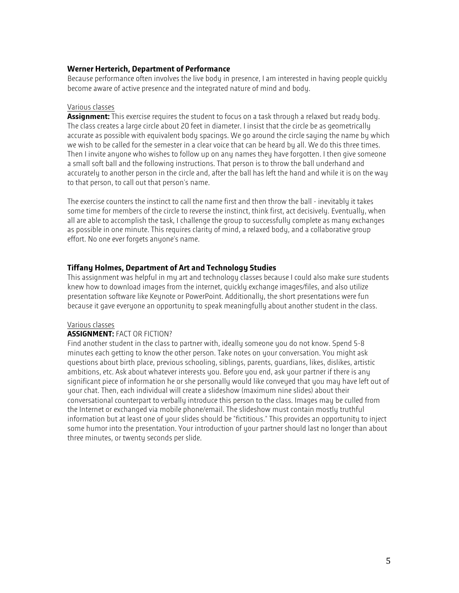## **Werner Herterich, Department of Performance**

Because performance often involves the live body in presence, I am interested in having people quickly become aware of active presence and the integrated nature of mind and body.

#### Various classes

**Assignment:** This exercise requires the student to focus on a task through a relaxed but ready body. The class creates a large circle about 20 feet in diameter. I insist that the circle be as geometrically accurate as possible with equivalent body spacings. We go around the circle saying the name by which we wish to be called for the semester in a clear voice that can be heard by all. We do this three times. Then I invite anyone who wishes to follow up on any names they have forgotten. I then give someone a small soft ball and the following instructions. That person is to throw the ball underhand and accurately to another person in the circle and, after the ball has left the hand and while it is on the way to that person, to call out that person's name.

The exercise counters the instinct to call the name first and then throw the ball - inevitably it takes some time for members of the circle to reverse the instinct, think first, act decisively. Eventually, when all are able to accomplish the task, I challenge the group to successfully complete as many exchanges as possible in one minute. This requires clarity of mind, a relaxed body, and a collaborative group effort. No one ever forgets anyone's name.

## **Tiffany Holmes, Department of Art and Technology Studies**

This assignment was helpful in my art and technology classes because I could also make sure students knew how to download images from the internet, quickly exchange images/files, and also utilize presentation software like Keynote or PowerPoint. Additionally, the short presentations were fun because it gave everyone an opportunity to speak meaningfully about another student in the class.

#### Various classes

## **ASSIGNMENT:** FACT OR FICTION?

Find another student in the class to partner with, ideally someone you do not know. Spend 5-8 minutes each getting to know the other person. Take notes on your conversation. You might ask questions about birth place, previous schooling, siblings, parents, guardians, likes, dislikes, artistic ambitions, etc. Ask about whatever interests you. Before you end, ask your partner if there is any significant piece of information he or she personally would like conveyed that you may have left out of your chat. Then, each individual will create a slideshow (maximum nine slides) about their conversational counterpart to verbally introduce this person to the class. Images may be culled from the Internet or exchanged via mobile phone/email. The slideshow must contain mostly truthful information but at least one of your slides should be "fictitious." This provides an opportunity to inject some humor into the presentation. Your introduction of your partner should last no longer than about three minutes, or twenty seconds per slide.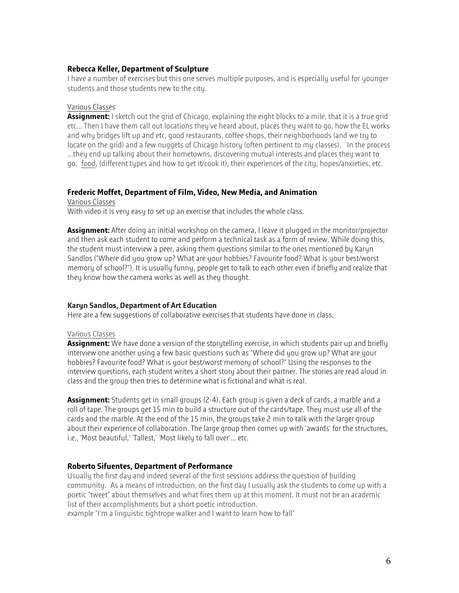## **Rebecca Keller, Department of Sculpture**

I have a number of exercises but this one serves multiple purposes, and is especially useful for younger students and those students new to the city.

### Various Classes

**Assignment:** I sketch out the grid of Chicago, explaining the eight blocks to a mile, that it is a true grid etc... Then I have them call out locations they've heard about, places they want to go, how the EL works and why bridges lift up and etc, good restaurants, coffee shops, their neighborhoods (and we try to locate on the grid) and a few nuggets of Chicago history (often pertinent to my classes). In the process ...they end up talking about their hometowns, discovering mutual interests and places they want to go, food, (different types and how to get it/cook it), their experiences of the city, hopes/anxieties, etc.

#### **Frederic Moffet, Department of Film, Video, New Media, and Animation**

Various Classes

With video it is very easy to set up an exercise that includes the whole class.

**Assignment:** After doing an initial workshop on the camera, I leave it plugged in the monitor/projector and then ask each student to come and perform a technical task as a form of review. While doing this, the student must interview a peer, asking them questions similar to the ones mentioned by Karyn Sandlos ("Where did you grow up? What are your hobbies? Favourite food? What is your best/worst memory of school?"). It is usually funny, people get to talk to each other even if briefly and realize that they know how the camera works as well as they thought.

## **Karyn Sandlos, Department of Art Education**

Here are a few suggestions of collaborative exercises that students have done in class.

#### Various Classes

**Assignment:** We have done a version of the storytelling exercise, in which students pair up and briefly interview one another using a few basic questions such as "Where did you grow up? What are your hobbies? Favourite food? What is your best/worst memory of school?" Using the responses to the interview questions, each student writes a short story about their partner. The stories are read aloud in class and the group then tries to determine what is fictional and what is real.

**Assignment:** Students get in small groups (2-4). Each group is given a deck of cards, a marble and a roll of tape. The groups get 15 min to build a structure out of the cards/tape. They must use all of the cards and the marble. At the end of the 15 min, the groups take 2 min to talk with the larger group about their experience of collaboration. The large group then comes up with 'awards' for the structures, i.e., 'Most beautiful,' 'Tallest,' 'Most likely to fall over'... etc.

## **Roberto Sifuentes, Department of Performance**

Usually the first day and indeed several of the first sessions address the question of building community. As a means of introduction, on the first day I usually ask the students to come up with a poetic "tweet" about themselves and what fires them up at this moment. It must not be an academic list of their accomplishments but a short poetic introduction.

example "I'm a linguistic tightrope walker and I want to learn how to fall"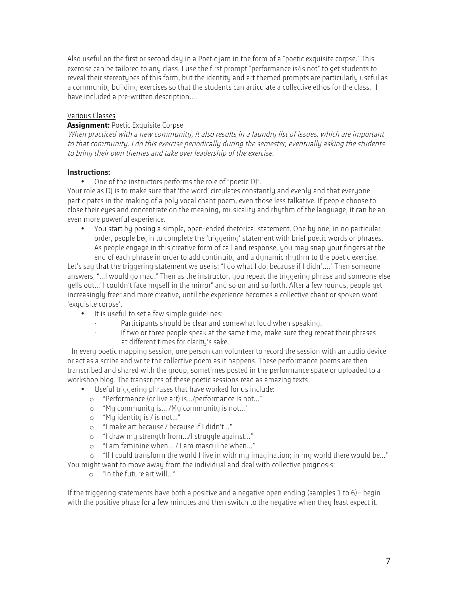Also useful on the first or second day in a Poetic jam in the form of a "poetic exquisite corpse." This exercise can be tailored to any class. I use the first prompt "performance is/is not" to get students to reveal their stereotypes of this form, but the identity and art themed prompts are particularly useful as a community building exercises so that the students can articulate a collective ethos for the class. I have included a pre-written description....

## Various Classes

### **Assignment:** Poetic Exquisite Corpse

When practiced with a new community, it also results in a laundry list of issues, which are important to that community. I do this exercise periodically during the semester, eventually asking the students to bring their own themes and take over leadership of the exercise.

#### **Instructions:**

• One of the instructors performs the role of "poetic DJ".

Your role as DJ is to make sure that 'the word' circulates constantly and evenly and that everyone participates in the making of a poly vocal chant poem, even those less talkative. If people choose to close their eyes and concentrate on the meaning, musicality and rhythm of the language, it can be an even more powerful experience.

• You start by posing a simple, open-ended rhetorical statement. One by one, in no particular order, people begin to complete the 'triggering' statement with brief poetic words or phrases. As people engage in this creative form of call and response, you may snap your fingers at the end of each phrase in order to add continuity and a dynamic rhythm to the poetic exercise.

Let's say that the triggering statement we use is: "I do what I do, because if I didn't…" Then someone answers, "…I would go mad." Then as the instructor, you repeat the triggering phrase and someone else yells out…"I couldn't face myself in the mirror" and so on and so forth. After a few rounds, people get increasingly freer and more creative, until the experience becomes a collective chant or spoken word 'exquisite corpse'.

- It is useful to set a few simple guidelines:
	- Participants should be clear and somewhat loud when speaking.
		- If two or three people speak at the same time, make sure they repeat their phrases at different times for clarity's sake.

In every poetic mapping session, one person can volunteer to record the session with an audio device or act as a scribe and write the collective poem as it happens. These performance poems are then transcribed and shared with the group, sometimes posted in the performance space or uploaded to a workshop blog. The transcripts of these poetic sessions read as amazing texts.

- Useful triggering phrases that have worked for us include:
	- o "Performance (or live art) is…/performance is not…"
	- o "My community is… /My community is not…"
	- o "My identity is / is not…"
	- o "I make art because / because if I didn't…"
	- o "I draw my strength from…/I struggle against…"
	- o "I am feminine when... / I am masculine when…"

o "If I could transform the world I live in with my imagination; in my world there would be…" You might want to move away from the individual and deal with collective prognosis:

o "In the future art will…"

If the triggering statements have both a positive and a negative open ending (samples 1 to 6)– begin with the positive phase for a few minutes and then switch to the negative when they least expect it.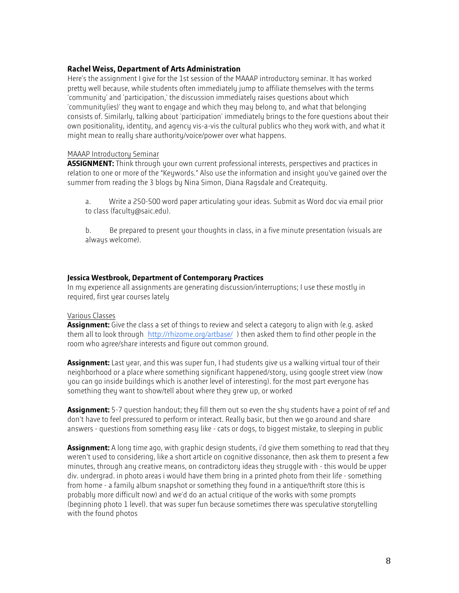## **Rachel Weiss, Department of Arts Administration**

Here's the assignment I give for the 1st session of the MAAAP introductory seminar. It has worked pretty well because, while students often immediately jump to affiliate themselves with the terms 'community' and 'participation,' the discussion immediately raises questions about which 'community(ies)' they want to engage and which they may belong to, and what that belonging consists of. Similarly, talking about 'participation' immediately brings to the fore questions about their own positionality, identity, and agency vis-a-vis the cultural publics who they work with, and what it might mean to really share authority/voice/power over what happens.

#### MAAAP Introductory Seminar

**ASSIGNMENT:** Think through your own current professional interests, perspectives and practices in relation to one or more of the "Keywords." Also use the information and insight you've gained over the summer from reading the 3 blogs by Nina Simon, Diana Ragsdale and Createquity.

a. Write a 250-500 word paper articulating your ideas. Submit as Word doc via email prior to class (faculty@saic.edu).

b. Be prepared to present your thoughts in class, in a five minute presentation (visuals are always welcome).

## **Jessica Westbrook, Department of Contemporary Practices**

In my experience all assignments are generating discussion/interruptions; I use these mostly in required, first year courses lately

#### Various Classes

**Assignment:** Give the class a set of things to review and select a category to align with (e.g. asked them all to look through http://rhizome.org/artbase/ ) then asked them to find other people in the room who agree/share interests and figure out common ground.

**Assignment:** Last year, and this was super fun, I had students give us a walking virtual tour of their neighborhood or a place where something significant happened/story, using google street view (now you can go inside buildings which is another level of interesting). for the most part everyone has something they want to show/tell about where they grew up, or worked

**Assignment:** 5-7 question handout; they fill them out so even the shy students have a point of ref and don't have to feel pressured to perform or interact. Really basic, but then we go around and share answers - questions from something easy like - cats or dogs, to biggest mistake, to sleeping in public

**Assignment:** A long time ago, with graphic design students, i'd give them something to read that they weren't used to considering, like a short article on cognitive dissonance, then ask them to present a few minutes, through any creative means, on contradictory ideas they struggle with - this would be upper div. undergrad. in photo areas i would have them bring in a printed photo from their life - something from home - a family album snapshot or something they found in a antique/thrift store (this is probably more difficult now) and we'd do an actual critique of the works with some prompts (beginning photo 1 level). that was super fun because sometimes there was speculative storytelling with the found photos